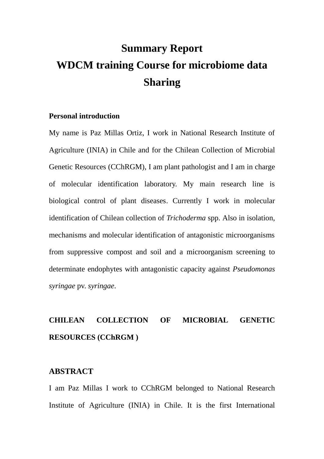# **Summary Report WDCM training Course for microbiome data Sharing**

#### **Personal introduction**

My name is Paz Millas Ortiz, I work in National Research Institute of Agriculture (INIA) in Chile and for the Chilean Collection of Microbial Genetic Resources (CChRGM), I am plant pathologist and I am in charge of molecular identification laboratory. My main research line is biological control of plant diseases. Currently I work in molecular identification of Chilean collection of *Trichoderma* spp. Also in isolation, mechanisms and molecular identification of antagonistic microorganisms from suppressive compost and soil and a microorganism screening to determinate endophytes with antagonistic capacity against *Pseudomonas syringae* pv. *syringae*.

## **CHILEAN COLLECTION OF MICROBIAL GENETIC RESOURCES (CChRGM )**

### **ABSTRACT**

I am Paz Millas I work to CChRGM belonged to National Research Institute of Agriculture (INIA) in Chile. It is the first International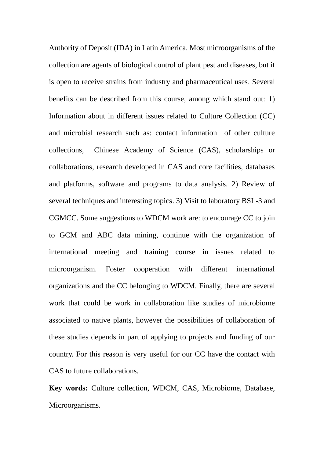Authority of Deposit (IDA) in Latin America. Most microorganisms of the collection are agents of biological control of plant pest and diseases, but it is open to receive strains from industry and pharmaceutical uses. Several benefits can be described from this course, among which stand out: 1) Information about in different issues related to Culture Collection (CC) and microbial research such as: contact information of other culture collections, Chinese Academy of Science (CAS), scholarships or collaborations, research developed in CAS and core facilities, databases and platforms, software and programs to data analysis. 2) Review of several techniques and interesting topics. 3) Visit to laboratory BSL-3 and CGMCC. Some suggestions to WDCM work are: to encourage CC to join to GCM and ABC data mining, continue with the organization of international meeting and training course in issues related to microorganism. Foster cooperation with different international organizations and the CC belonging to WDCM. Finally, there are several work that could be work in collaboration like studies of microbiome associated to native plants, however the possibilities of collaboration of these studies depends in part of applying to projects and funding of our country. For this reason is very useful for our CC have the contact with CAS to future collaborations.

**Key words:** Culture collection, WDCM, CAS, Microbiome, Database, Microorganisms.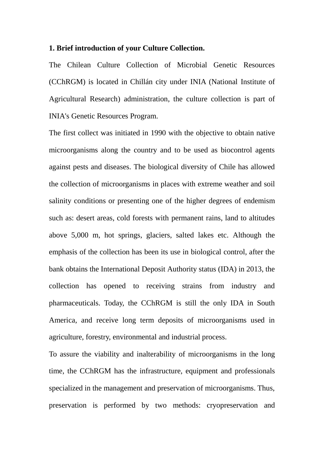#### **1. Brief introduction of your Culture Collection.**

The Chilean Culture Collection of Microbial Genetic Resources (CChRGM) is located in Chillán city under INIA (National Institute of Agricultural Research) administration, the culture collection is part of INIA's Genetic Resources Program.

The first collect was initiated in 1990 with the objective to obtain native microorganisms along the country and to be used as biocontrol agents against pests and diseases. The biological diversity of Chile has allowed the collection of microorganisms in places with extreme weather and soil salinity conditions or presenting one of the higher degrees of endemism such as: desert areas, cold forests with permanent rains, land to altitudes above 5,000 m, hot springs, glaciers, salted lakes etc. Although the emphasis of the collection has been its use in biological control, after the bank obtains the International Deposit Authority status (IDA) in 2013, the collection has opened to receiving strains from industry and pharmaceuticals. Today, the CChRGM is still the only IDA in South America, and receive long term deposits of microorganisms used in agriculture, forestry, environmental and industrial process.

To assure the viability and inalterability of microorganisms in the long time, the CChRGM has the infrastructure, equipment and professionals specialized in the management and preservation of microorganisms. Thus, preservation is performed by two methods: cryopreservation and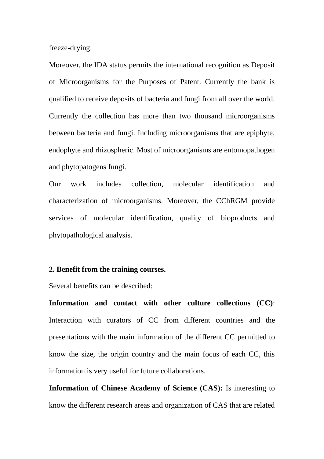freeze-drying.

Moreover, the IDA status permits the international recognition as Deposit of Microorganisms for the Purposes of Patent. Currently the bank is qualified to receive deposits of bacteria and fungi from all over the world. Currently the collection has more than two thousand microorganisms between bacteria and fungi. Including microorganisms that are epiphyte, endophyte and rhizospheric. Most of microorganisms are entomopathogen and phytopatogens fungi.

Our work includes collection, molecular identification and characterization of microorganisms. Moreover, the CChRGM provide services of molecular identification, quality of bioproducts and phytopathological analysis.

#### **2. Benefit from the training courses.**

Several benefits can be described:

**Information and contact with other culture collections (CC)**: Interaction with curators of CC from different countries and the presentations with the main information of the different CC permitted to know the size, the origin country and the main focus of each CC, this information is very useful for future collaborations.

**Information of Chinese Academy of Science (CAS):** Is interesting to know the different research areas and organization of CAS that are related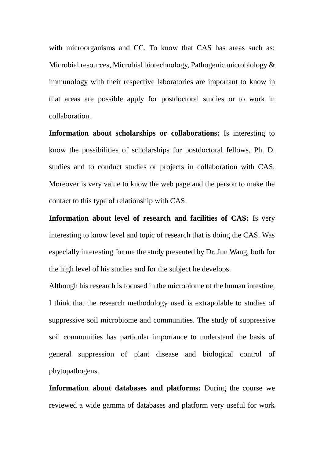with microorganisms and CC. To know that CAS has areas such as: Microbial resources, Microbial biotechnology, Pathogenic microbiology & immunology with their respective laboratories are important to know in that areas are possible apply for postdoctoral studies or to work in collaboration.

**Information about scholarships or collaborations:** Is interesting to know the possibilities of scholarships for postdoctoral fellows, Ph. D. studies and to conduct studies or projects in collaboration with CAS. Moreover is very value to know the web page and the person to make the contact to this type of relationship with CAS.

**Information about level of research and facilities of CAS:** Is very interesting to know level and topic of research that is doing the CAS. Was especially interesting for me the study presented by Dr. Jun Wang, both for the high level of his studies and for the subject he develops.

Although his research is focused in the microbiome of the human intestine, I think that the research methodology used is extrapolable to studies of suppressive soil microbiome and communities. The study of suppressive soil communities has particular importance to understand the basis of general suppression of plant disease and biological control of phytopathogens.

**Information about databases and platforms:** During the course we reviewed a wide gamma of databases and platform very useful for work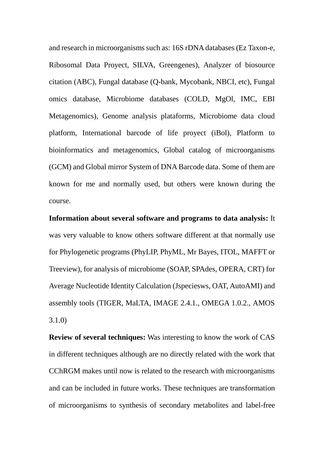and research in microorganisms such as: 16S rDNA databases (Ez Taxon-e, Ribosomal Data Proyect, SILVA, Greengenes), Analyzer of biosource citation (ABC), Fungal database (Q-bank, Mycobank, NBCI, etc), Fungal omics database, Microbiome databases (COLD, MgOl, IMC, EBI Metagenomics), Genome analysis plataforms, Microbiome data cloud platform, International barcode of life proyect (iBol), Platform to bioinformatics and metagenomics, Global catalog of microorganisms (GCM) and Global mirror System of DNA Barcode data. Some of them are known for me and normally used, but others were known during the course.

**Information about several software and programs to data analysis:** It was very valuable to know others software different at that normally use for Phylogenetic programs (PhyLIP, PhyML, Mr Bayes, ITOL, MAFFT or Treeview), for analysis of microbiome (SOAP, SPAdes, OPERA, CRT) for Average Nucleotide Identity Calculation (Jspeciesws, OAT, AutoAMI) and assembly tools (TIGER, MaLTA, IMAGE 2.4.1., OMEGA 1.0.2., AMOS 3.1.0)

**Review of several techniques:** Was interesting to know the work of CAS in different techniques although are no directly related with the work that CChRGM makes until now is related to the research with microorganisms and can be included in future works. These techniques are transformation of microorganisms to synthesis of secondary metabolites and label-free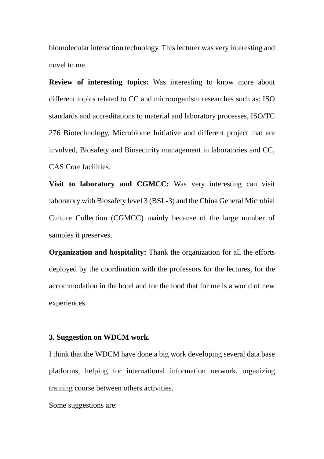biomolecular interaction technology. This lecturer was very interesting and novel to me.

**Review of interesting topics:** Was interesting to know more about different topics related to CC and microorganism researches such as: ISO standards and accreditations to material and laboratory processes, ISO/TC 276 Biotechnology, Microbiome Initiative and different project that are involved, Biosafety and Biosecurity management in laboratories and CC, CAS Core facilities.

**Visit to laboratory and CGMCC:** Was very interesting can visit laboratory with Biosafety level 3 (BSL-3) and the China General Microbial Culture Collection (CGMCC) mainly because of the large number of samples it preserves.

**Organization and hospitality:** Thank the organization for all the efforts deployed by the coordination with the professors for the lectures, for the accommodation in the hotel and for the food that for me is a world of new experiences.

#### **3. Suggestion on WDCM work.**

I think that the WDCM have done a big work developing several data base platforms, helping for international information network, organizing training course between others activities.

Some suggestions are: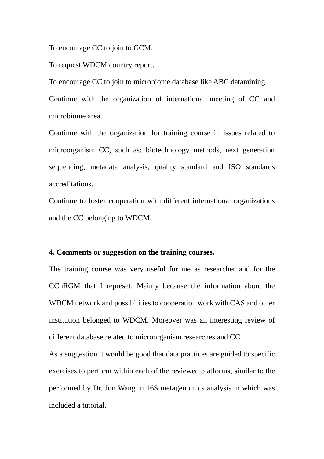To encourage CC to join to GCM.

To request WDCM country report.

To encourage CC to join to microbiome database like ABC datamining. Continue with the organization of international meeting of CC and microbiome area.

Continue with the organization for training course in issues related to microorganism CC, such as: biotechnology methods, next generation sequencing, metadata analysis, quality standard and ISO standards accreditations.

Continue to foster cooperation with different international organizations and the CC belonging to WDCM.

#### **4. Comments or suggestion on the training courses.**

The training course was very useful for me as researcher and for the CChRGM that I represet. Mainly because the information about the WDCM network and possibilities to cooperation work with CAS and other institution belonged to WDCM. Moreover was an interesting review of different database related to microorganism researches and CC.

As a suggestion it would be good that data practices are guided to specific exercises to perform within each of the reviewed platforms, similar to the performed by Dr. Jun Wang in 16S metagenomics analysis in which was included a tutorial.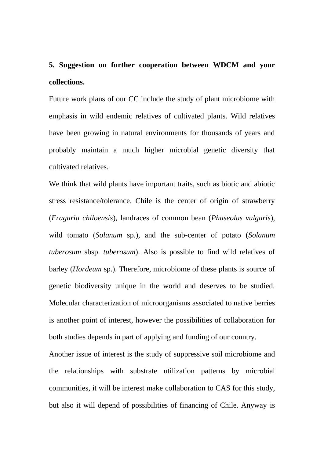### **5. Suggestion on further cooperation between WDCM and your collections.**

Future work plans of our CC include the study of plant microbiome with emphasis in wild endemic relatives of cultivated plants. Wild relatives have been growing in natural environments for thousands of years and probably maintain a much higher microbial genetic diversity that cultivated relatives.

We think that wild plants have important traits, such as biotic and abiotic stress resistance/tolerance. Chile is the center of origin of strawberry (*Fragaria chiloensis*), landraces of common bean (*Phaseolus vulgaris*), wild tomato (*Solanum* sp.), and the sub-center of potato (*Solanum tuberosum* sbsp. *tuberosum*). Also is possible to find wild relatives of barley (*Hordeum* sp.). Therefore, microbiome of these plants is source of genetic biodiversity unique in the world and deserves to be studied. Molecular characterization of microorganisms associated to native berries is another point of interest, however the possibilities of collaboration for both studies depends in part of applying and funding of our country.

Another issue of interest is the study of suppressive soil microbiome and the relationships with substrate utilization patterns by microbial communities, it will be interest make collaboration to CAS for this study, but also it will depend of possibilities of financing of Chile. Anyway is